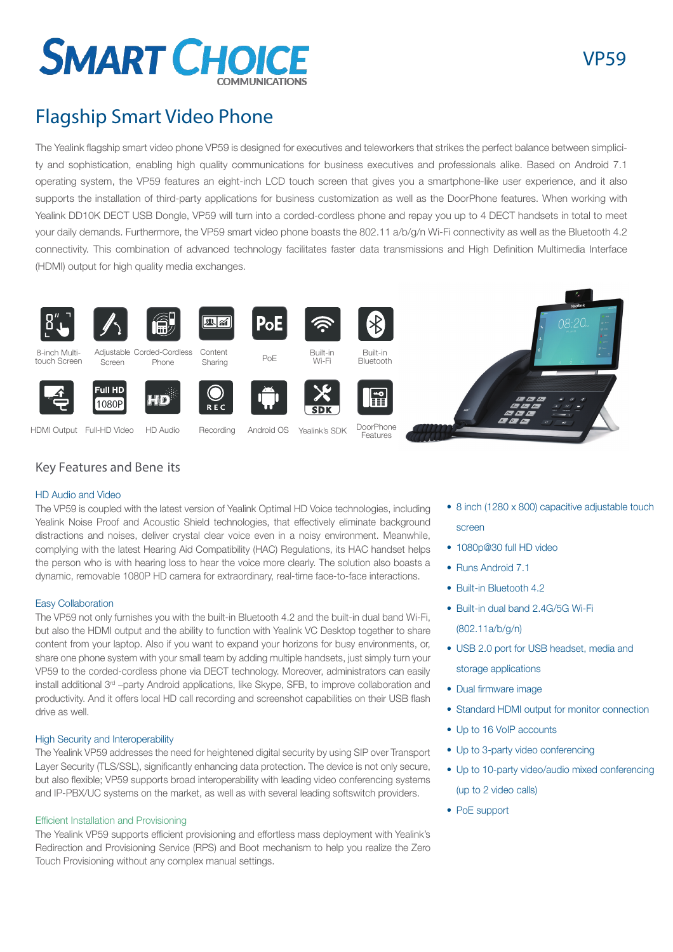

# Flagship Smart Video Phone

The Yealink flagship smart video phone VP59 is designed for executives and teleworkers that strikes the perfect balance between simplicity and sophistication, enabling high quality communications for business executives and professionals alike. Based on Android 7.1 operating system, the VP59 features an eight-inch LCD touch screen that gives you a smartphone-like user experience, and it also supports the installation of third-party applications for business customization as well as the DoorPhone features. When working with Yealink DD10K DECT USB Dongle, VP59 will turn into a corded-cordless phone and repay you up to 4 DECT handsets in total to meet your daily demands. Furthermore, the VP59 smart video phone boasts the 802.11 a/b/g/n Wi-Fi connectivity as well as the Bluetooth 4.2 connectivity. This combination of advanced technology facilitates faster data transmissions and High Definition Multimedia Interface (HDMI) output for high quality media exchanges.



# Key Features and Bene its

# HD Audio and Video

The VP59 is coupled with the latest version of Yealink Optimal HD Voice technologies, including Yealink Noise Proof and Acoustic Shield technologies, that effectively eliminate background distractions and noises, deliver crystal clear voice even in a noisy environment. Meanwhile, complying with the latest Hearing Aid Compatibility (HAC) Regulations, its HAC handset helps the person who is with hearing loss to hear the voice more clearly. The solution also boasts a dynamic, removable 1080P HD camera for extraordinary, real-time face-to-face interactions.

# Easy Collaboration

The VP59 not only furnishes you with the built-in Bluetooth 4.2 and the built-in dual band Wi-Fi, but also the HDMI output and the ability to function with Yealink VC Desktop together to share content from your laptop. Also if you want to expand your horizons for busy environments, or, share one phone system with your small team by adding multiple handsets, just simply turn your VP59 to the corded-cordless phone via DECT technology. Moreover, administrators can easily install additional 3rd –party Android applications, like Skype, SFB, to improve collaboration and productivity. And it offers local HD call recording and screenshot capabilities on their USB flash drive as well.

# High Security and Interoperability

The Yealink VP59 addresses the need for heightened digital security by using SIP over Transport Layer Security (TLS/SSL), significantly enhancing data protection. The device is not only secure, but also flexible; VP59 supports broad interoperability with leading video conferencing systems and IP-PBX/UC systems on the market, as well as with several leading softswitch providers.

# Efficient Installation and Provisioning

The Yealink VP59 supports efficient provisioning and effortless mass deployment with Yealink's Redirection and Provisioning Service (RPS) and Boot mechanism to help you realize the Zero Touch Provisioning without any complex manual settings.

- 8 inch (1280 x 800) capacitive adjustable touch screen
- 1080p@30 full HD video
- Runs Android 7.1
- Built-in Bluetooth 4.2
- Built-in dual band 2.4G/5G Wi-Fi (802.11a/b/g/n)
- USB 2.0 port for USB headset, media and storage applications
- Dual firmware image
- Standard HDMI output for monitor connection
- Up to 16 VoIP accounts
- Up to 3-party video conferencing
- Up to 10-party video/audio mixed conferencing (up to 2 video calls)
- PoE support